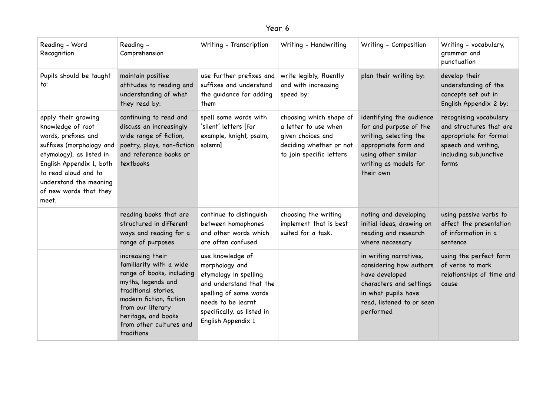| Reading - Word<br>Recognition                                                                                                                                                                                                            | Reading -<br>Comprehension                                                                                                                                                                                                             | Writing - Transcription                                                                                                                                                                    | Writing - Handwriting                                                                                                       | Writing - Composition                                                                                                                                             | Writing - vocabulary,<br>grammar and<br>punctuation                                                                                  |
|------------------------------------------------------------------------------------------------------------------------------------------------------------------------------------------------------------------------------------------|----------------------------------------------------------------------------------------------------------------------------------------------------------------------------------------------------------------------------------------|--------------------------------------------------------------------------------------------------------------------------------------------------------------------------------------------|-----------------------------------------------------------------------------------------------------------------------------|-------------------------------------------------------------------------------------------------------------------------------------------------------------------|--------------------------------------------------------------------------------------------------------------------------------------|
| Pupils should be taught<br>to:                                                                                                                                                                                                           | maintain positive<br>attitudes to reading and<br>understanding of what<br>they read by:                                                                                                                                                | use further prefixes and<br>suffixes and understand<br>the guidance for adding<br>them                                                                                                     | write legibly, fluently<br>and with increasing<br>speed by:                                                                 | plan their writing by:                                                                                                                                            | develop their<br>understanding of the<br>concepts set out in<br>English Appendix 2 by:                                               |
| apply their growing<br>knowledge of root<br>words, prefixes and<br>suffixes (morphology and<br>etymology), as listed in<br>English Appendix 1, both<br>to read aloud and to<br>understand the meaning<br>of new words that they<br>meet. | continuing to read and<br>discuss an increasingly<br>wide range of fiction,<br>poetry, plays, non-fiction<br>and reference books or<br>textbooks                                                                                       | spell some words with<br>'silent' letters [for<br>example, knight, psalm,<br>solemn]                                                                                                       | choosing which shape of<br>a letter to use when<br>given choices and<br>deciding whether or not<br>to join specific letters | identifying the audience<br>for and purpose of the<br>writing, selecting the<br>appropriate form and<br>using other similar<br>writing as models for<br>their own | recognising vocabulary<br>and structures that are<br>appropriate for formal<br>speech and writing,<br>including subjunctive<br>forms |
|                                                                                                                                                                                                                                          | reading books that are<br>structured in different<br>ways and reading for a<br>range of purposes                                                                                                                                       | continue to distinguish<br>between homophones<br>and other words which<br>are often confused                                                                                               | choosing the writing<br>implement that is best<br>suited for a task.                                                        | noting and developing<br>initial ideas, drawing on<br>reading and research<br>where necessary                                                                     | using passive verbs to<br>affect the presentation<br>of information in a<br>sentence                                                 |
|                                                                                                                                                                                                                                          | increasing their<br>familiarity with a wide<br>range of books, including<br>myths, legends and<br>traditional stories,<br>modern fiction, fiction<br>from our literary<br>heritage, and books<br>from other cultures and<br>traditions | use knowledge of<br>morphology and<br>etymology in spelling<br>and understand that the<br>spelling of some words<br>needs to be learnt<br>specifically, as listed in<br>English Appendix 1 |                                                                                                                             | in writing narratives,<br>considering how authors<br>have developed<br>characters and settings<br>in what pupils have<br>read, listened to or seen<br>performed   | using the perfect form<br>of verbs to mark<br>relationships of time and<br>cause                                                     |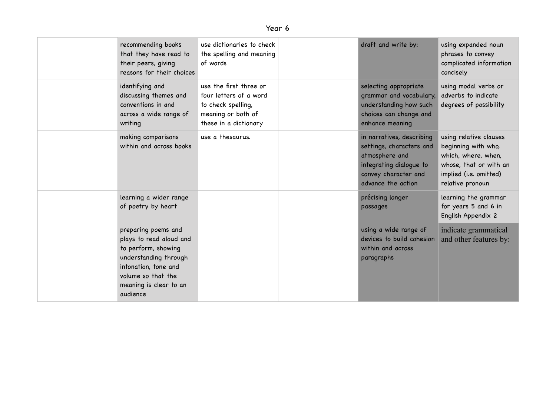| ear |  |
|-----|--|
|-----|--|

| recommending books<br>that they have read to<br>their peers, giving<br>reasons for their choices                                                                                   | use dictionaries to check<br>the spelling and meaning<br>of words                                                     | draft and write by:                                                                                                                              | using expanded noun<br>phrases to convey<br>complicated information<br>concisely                                                             |
|------------------------------------------------------------------------------------------------------------------------------------------------------------------------------------|-----------------------------------------------------------------------------------------------------------------------|--------------------------------------------------------------------------------------------------------------------------------------------------|----------------------------------------------------------------------------------------------------------------------------------------------|
| identifying and<br>discussing themes and<br>conventions in and<br>across a wide range of<br>writing                                                                                | use the first three or<br>four letters of a word<br>to check spelling,<br>meaning or both of<br>these in a dictionary | selecting appropriate<br>grammar and vocabulary,<br>understanding how such<br>choices can change and<br>enhance meaning                          | using modal verbs or<br>adverbs to indicate<br>degrees of possibility                                                                        |
| making comparisons<br>within and across books                                                                                                                                      | use a thesaurus.                                                                                                      | in narratives, describing<br>settings, characters and<br>atmosphere and<br>integrating dialogue to<br>convey character and<br>advance the action | using relative clauses<br>beginning with who,<br>which, where, when,<br>whose, that or with an<br>implied (i.e. omitted)<br>relative pronoun |
| learning a wider range<br>of poetry by heart                                                                                                                                       |                                                                                                                       | précising longer<br>passages                                                                                                                     | learning the grammar<br>for years 5 and 6 in<br>English Appendix 2                                                                           |
| preparing poems and<br>plays to read aloud and<br>to perform, showing<br>understanding through<br>intonation, tone and<br>volume so that the<br>meaning is clear to an<br>audience |                                                                                                                       | using a wide range of<br>devices to build cohesion<br>within and across<br>paragraphs                                                            | indicate grammatical<br>and other features by:                                                                                               |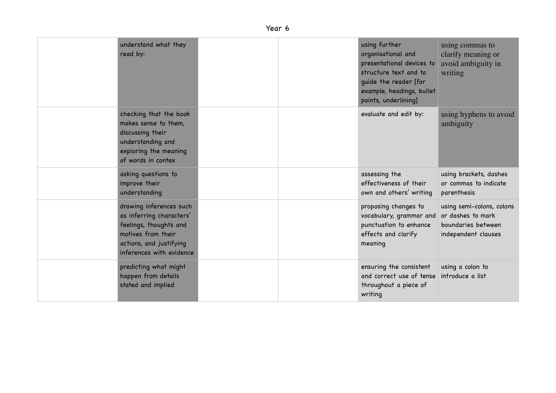| understand what they<br>read by:                                                                                                                           |  | using further<br>organisational and<br>presentational devices to<br>structure text and to<br>guide the reader [for<br>example, headings, bullet<br>points, underlining] | using commas to<br>clarify meaning or<br>avoid ambiguity in<br>writing                      |
|------------------------------------------------------------------------------------------------------------------------------------------------------------|--|-------------------------------------------------------------------------------------------------------------------------------------------------------------------------|---------------------------------------------------------------------------------------------|
| checking that the book<br>makes sense to them,<br>discussing their<br>understanding and<br>exploring the meaning<br>of words in contex                     |  | evaluate and edit by:                                                                                                                                                   | using hyphens to avoid<br>ambiguity                                                         |
| asking questions to<br>improve their<br>understanding                                                                                                      |  | assessing the<br>effectiveness of their<br>own and others' writing                                                                                                      | using brackets, dashes<br>or commas to indicate<br>parenthesis                              |
| drawing inferences such<br>as inferring characters'<br>feelings, thoughts and<br>motives from their<br>actions, and justifying<br>inferences with evidence |  | proposing changes to<br>vocabulary, grammar and<br>punctuation to enhance<br>effects and clarify<br>meaning                                                             | using semi-colons, colons<br>or dashes to mark<br>boundaries between<br>independent clauses |
| predicting what might<br>happen from details<br>stated and implied                                                                                         |  | ensuring the consistent<br>and correct use of tense<br>throughout a piece of<br>writing                                                                                 | using a colon to<br>introduce a list                                                        |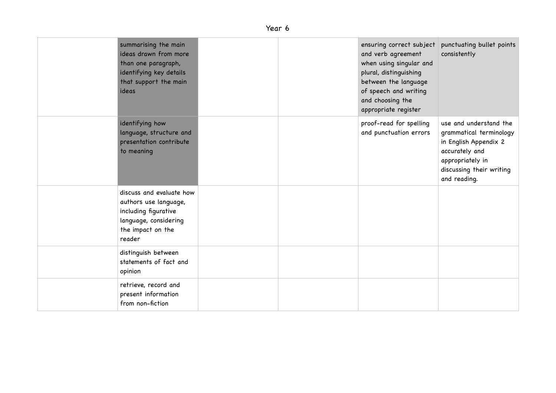| summarising the main<br>ideas drawn from more<br>than one paragraph,<br>identifying key details<br>that support the main<br>ideas |  | ensuring correct subject<br>and verb agreement<br>when using singular and<br>plural, distinguishing<br>between the language<br>of speech and writing<br>and choosing the<br>appropriate register | punctuating bullet points<br>consistently                                                                                                                    |
|-----------------------------------------------------------------------------------------------------------------------------------|--|--------------------------------------------------------------------------------------------------------------------------------------------------------------------------------------------------|--------------------------------------------------------------------------------------------------------------------------------------------------------------|
| identifying how<br>language, structure and<br>presentation contribute<br>to meaning                                               |  | proof-read for spelling<br>and punctuation errors                                                                                                                                                | use and understand the<br>grammatical terminology<br>in English Appendix 2<br>accurately and<br>appropriately in<br>discussing their writing<br>and reading. |
| discuss and evaluate how<br>authors use language,<br>including figurative<br>language, considering<br>the impact on the<br>reader |  |                                                                                                                                                                                                  |                                                                                                                                                              |
| distinguish between<br>statements of fact and<br>opinion                                                                          |  |                                                                                                                                                                                                  |                                                                                                                                                              |
| retrieve, record and<br>present information<br>from non-fiction                                                                   |  |                                                                                                                                                                                                  |                                                                                                                                                              |